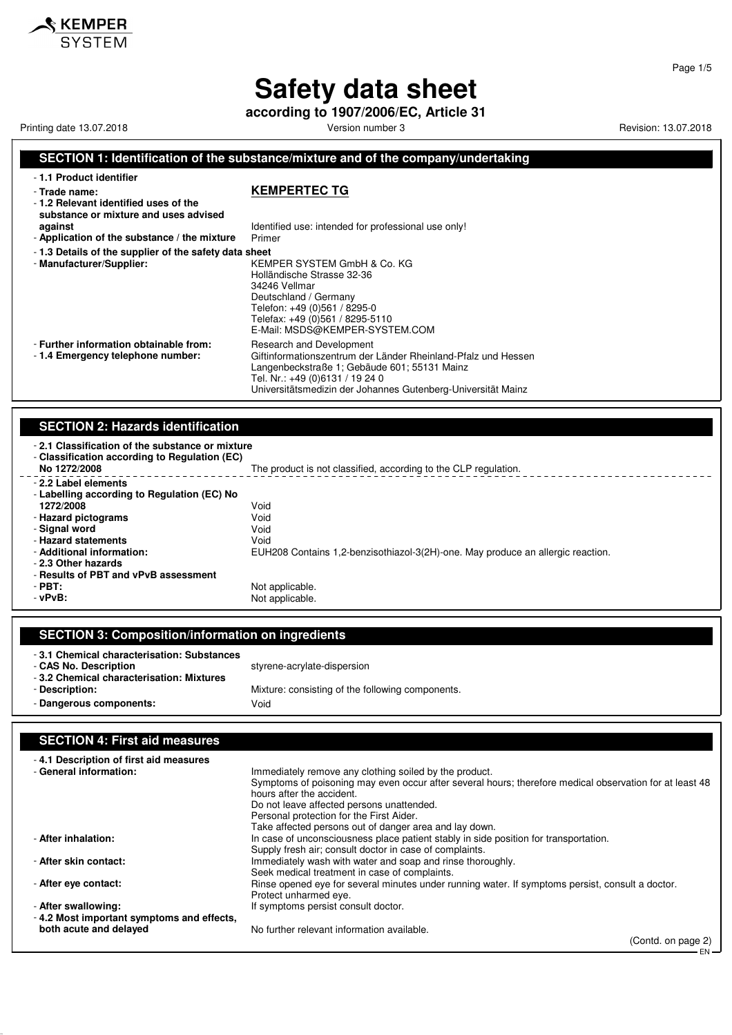**according to 1907/2006/EC, Article 31**

Printing date 13.07.2018 **Printing date 13.07.2018** Version number 3 Revision: 13.07.2018

**KEMPER** 

#### **SECTION 1: Identification of the substance/mixture and of the company/undertaking**

| -1.1 Product identifier<br>- Trade name:<br>- 1.2 Relevant identified uses of the<br>substance or mixture and uses advised | <b>KEMPERTEC TG</b>                                                                                                                                                                                                                          |
|----------------------------------------------------------------------------------------------------------------------------|----------------------------------------------------------------------------------------------------------------------------------------------------------------------------------------------------------------------------------------------|
| against                                                                                                                    | Identified use: intended for professional use only!                                                                                                                                                                                          |
| - Application of the substance / the mixture                                                                               | Primer                                                                                                                                                                                                                                       |
| - 1.3 Details of the supplier of the safety data sheet<br>- Manufacturer/Supplier:                                         | KEMPER SYSTEM GmbH & Co. KG<br>Holländische Strasse 32-36<br>34246 Vellmar<br>Deutschland / Germany<br>Telefon: +49 (0)561 / 8295-0<br>Telefax: +49 (0)561 / 8295-5110<br>E-Mail: MSDS@KEMPER-SYSTEM.COM                                     |
| - Further information obtainable from:<br>-1.4 Emergency telephone number:                                                 | Research and Development<br>Giftinformationszentrum der Länder Rheinland-Pfalz und Hessen<br>Langenbeckstraße 1; Gebäude 601; 55131 Mainz<br>Tel. Nr.: +49 (0)6131 / 19 24 0<br>Universitätsmedizin der Johannes Gutenberg-Universität Mainz |
| <b>SECTION 2: Hazards identification</b>                                                                                   |                                                                                                                                                                                                                                              |
| -2.1 Classification of the substance or mixture                                                                            |                                                                                                                                                                                                                                              |

- **2.1 Classification of the substance or mixture** - **Classification according to Regulation (EC)** The product is not classified, according to the CLP regulation. - **2.2 Label elements** - **Labelling according to Regulation (EC) No 1272/2008** Void<br> **Hazard pictograms** Void - **Hazard pictograms** Void - Signal word - **Hazard statements** Void - **Additional information:** EUH208 Contains 1,2-benzisothiazol-3(2H)-one. May produce an allergic reaction. - **2.3 Other hazards** - **Results of PBT and vPvB assessment** - **PBT:**<br>
- **vPvB:**<br>
- **vPvB:**<br>
- **Not** applicable. Not applicable.

| <b>SECTION 3: Composition/information on ingredients</b>                                                        |                                                  |
|-----------------------------------------------------------------------------------------------------------------|--------------------------------------------------|
| -3.1 Chemical characterisation: Substances<br>- CAS No. Description<br>-3.2 Chemical characterisation: Mixtures | styrene-acrylate-dispersion                      |
| - Description:                                                                                                  | Mixture: consisting of the following components. |
| - Dangerous components:                                                                                         | Void                                             |

#### **SECTION 4: First aid measures** - **4.1 Description of first aid measures** Immediately remove any clothing soiled by the product. Symptoms of poisoning may even occur after several hours; therefore medical observation for at least 48 hours after the accident. Do not leave affected persons unattended. Personal protection for the First Aider. Take affected persons out of danger area and lay down. - **After inhalation:** In case of unconsciousness place patient stably in side position for transportation. Supply fresh air; consult doctor in case of complaints. - **After skin contact:** Immediately wash with water and soap and rinse thoroughly. Seek medical treatment in case of complaints. - **After eye contact:** example opened eye for several minutes under running water. If symptoms persist, consult a doctor. Protect unharmed eye. - **After swallowing: If symptoms persist consult doctor.** - **4.2 Most important symptoms and effects, both acute and delayed** No further relevant information available.

(Contd. on page 2) EN

Page 1/5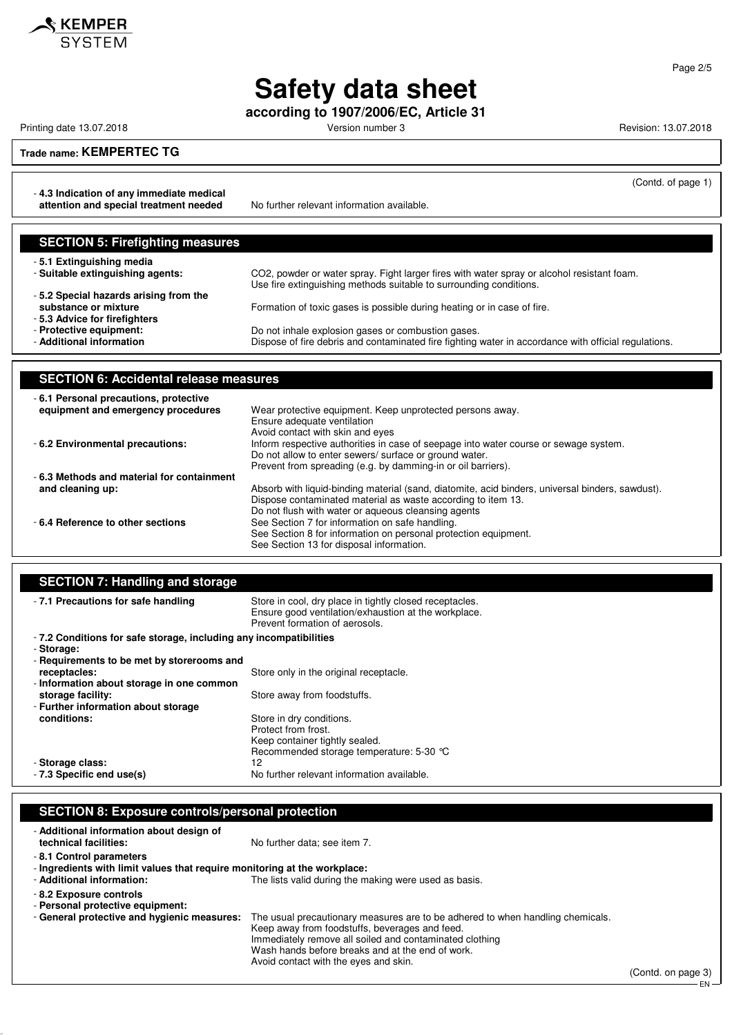

**according to 1907/2006/EC, Article 31**

Printing date 13.07.2018 **Printing date 13.07.2018** Version number 3 Revision: 13.07.2018

(Contd. of page 1)

#### **Trade name: KEMPERTEC TG**

- **4.3 Indication of any immediate medical attention and special treatment needed** No further relevant information available.

| <b>SECTION 5: Firefighting measures</b>                                                       |                                                                                                      |
|-----------------------------------------------------------------------------------------------|------------------------------------------------------------------------------------------------------|
| -5.1 Extinguishing media                                                                      | CO2, powder or water spray. Fight larger fires with water spray or alcohol resistant foam.           |
| - Suitable extinguishing agents:                                                              | Use fire extinguishing methods suitable to surrounding conditions.                                   |
| -5.2 Special hazards arising from the<br>substance or mixture<br>-5.3 Advice for firefighters | Formation of toxic gases is possible during heating or in case of fire.                              |
| - Protective equipment:                                                                       | Do not inhale explosion gases or combustion gases.                                                   |
| - Additional information                                                                      | Dispose of fire debris and contaminated fire fighting water in accordance with official regulations. |

| <b>SECTION 6: Accidental release measures</b>                               |                                                                                                                                                                                                                                  |
|-----------------------------------------------------------------------------|----------------------------------------------------------------------------------------------------------------------------------------------------------------------------------------------------------------------------------|
| -6.1 Personal precautions, protective<br>equipment and emergency procedures | Wear protective equipment. Keep unprotected persons away.                                                                                                                                                                        |
| - 6.2 Environmental precautions:                                            | Ensure adequate ventilation<br>Avoid contact with skin and eyes<br>Inform respective authorities in case of seepage into water course or sewage system.<br>Do not allow to enter sewers/ surface or ground water.                |
| -6.3 Methods and material for containment<br>and cleaning up:               | Prevent from spreading (e.g. by damming-in or oil barriers).<br>Absorb with liquid-binding material (sand, diatomite, acid binders, universal binders, sawdust).<br>Dispose contaminated material as waste according to item 13. |
| -6.4 Reference to other sections                                            | Do not flush with water or aqueous cleansing agents<br>See Section 7 for information on safe handling.<br>See Section 8 for information on personal protection equipment.<br>See Section 13 for disposal information.            |

| <b>SECTION 7: Handling and storage</b> |                                                                                                                                                   |
|----------------------------------------|---------------------------------------------------------------------------------------------------------------------------------------------------|
| - 7.1 Precautions for safe handling    | Store in cool, dry place in tightly closed receptacles.<br>Ensure good ventilation/exhaustion at the workplace.<br>Prevent formation of aerosols. |

| - Storage:                                 |                                            |
|--------------------------------------------|--------------------------------------------|
| - Requirements to be met by storerooms and |                                            |
| receptacles:                               | Store only in the original receptacle.     |
| - Information about storage in one common  |                                            |
| storage facility:                          | Store away from foodstuffs.                |
| - Further information about storage        |                                            |
| conditions:                                | Store in dry conditions.                   |
|                                            | Protect from frost.                        |
|                                            | Keep container tightly sealed.             |
|                                            | Recommended storage temperature: 5-30 °C   |
| - Storage class:                           | 12                                         |
| - 7.3 Specific end use(s)                  | No further relevant information available. |

### **SECTION 8: Exposure controls/personal protection**

| - Additional information about design of<br>technical facilities:                                    | No further data; see item 7.                                                                                                                                                                                                                                                             |
|------------------------------------------------------------------------------------------------------|------------------------------------------------------------------------------------------------------------------------------------------------------------------------------------------------------------------------------------------------------------------------------------------|
| -8.1 Control parameters<br>- Ingredients with limit values that require monitoring at the workplace: |                                                                                                                                                                                                                                                                                          |
| - Additional information:                                                                            | The lists valid during the making were used as basis.                                                                                                                                                                                                                                    |
| - 8.2 Exposure controls<br>- Personal protective equipment:                                          |                                                                                                                                                                                                                                                                                          |
| - General protective and hygienic measures:                                                          | The usual precautionary measures are to be adhered to when handling chemicals.<br>Keep away from foodstuffs, beverages and feed.<br>Immediately remove all soiled and contaminated clothing<br>Wash hands before breaks and at the end of work.<br>Avoid contact with the eyes and skin. |

(Contd. on page 3)

EN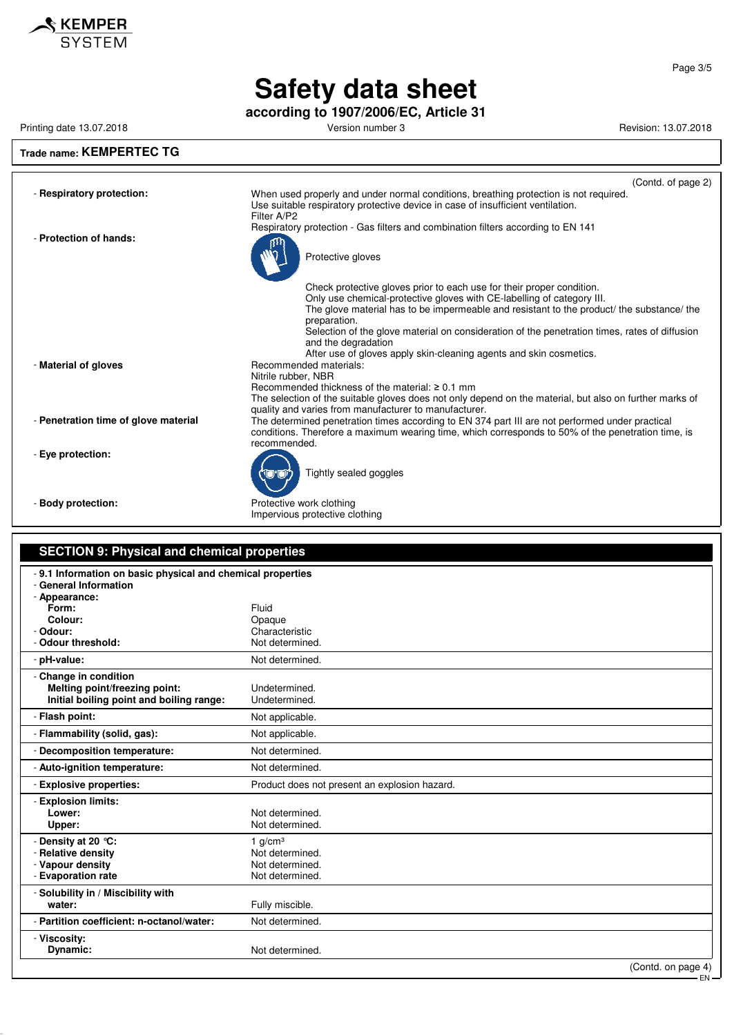

**according to 1907/2006/EC, Article 31**

Printing date 13.07.2018 **Printing date 13.07.2018** Version number 3 Revision: 13.07.2018

#### **Trade name: KEMPERTEC TG** (Contd. of page 2) - **Respiratory protection:** When used properly and under normal conditions, breathing protection is not required. Use suitable respiratory protective device in case of insufficient ventilation. Filter A/P2 Respiratory protection - Gas filters and combination filters according to EN 141 - **Protection of hands:** Protective gloves Check protective gloves prior to each use for their proper condition. Only use chemical-protective gloves with CE-labelling of category III. The glove material has to be impermeable and resistant to the product/ the substance/ the preparation. Selection of the glove material on consideration of the penetration times, rates of diffusion and the degradation After use of gloves apply skin-cleaning agents and skin cosmetics. - **Material of gloves** Recommended materials: Nitrile rubber, NBR Recommended thickness of the material: ≥ 0.1 mm The selection of the suitable gloves does not only depend on the material, but also on further marks of quality and varies from manufacturer to manufacturer. - **Penetration time of glove material** The determined penetration times according to EN 374 part III are not performed under practical conditions. Therefore a maximum wearing time, which corresponds to 50% of the penetration time, is recommended. - **Eye protection:** Tightly sealed goggles - **Body protection:** Protective work clothing

Impervious protective clothing

| <b>SECTION 9: Physical and chemical properties</b>                                                   |                                                                    |
|------------------------------------------------------------------------------------------------------|--------------------------------------------------------------------|
| -9.1 Information on basic physical and chemical properties<br>- General Information<br>- Appearance: |                                                                    |
| Form:                                                                                                | Fluid                                                              |
| Colour:<br>- Odour:                                                                                  | Opaque<br>Characteristic                                           |
| - Odour threshold:                                                                                   | Not determined.                                                    |
| - pH-value:                                                                                          | Not determined.                                                    |
| - Change in condition<br>Melting point/freezing point:<br>Initial boiling point and boiling range:   | Undetermined.<br>Undetermined.                                     |
| - Flash point:                                                                                       | Not applicable.                                                    |
| - Flammability (solid, gas):                                                                         | Not applicable.                                                    |
| - Decomposition temperature:                                                                         | Not determined.                                                    |
| - Auto-ignition temperature:                                                                         | Not determined.                                                    |
| - Explosive properties:                                                                              | Product does not present an explosion hazard.                      |
| - Explosion limits:<br>Lower:<br>Upper:                                                              | Not determined.<br>Not determined.                                 |
| - Density at 20 °C:<br>- Relative density<br>- Vapour density<br>- Evaporation rate                  | 1 $q/cm3$<br>Not determined.<br>Not determined.<br>Not determined. |
| - Solubility in / Miscibility with<br>water:                                                         | Fully miscible.                                                    |
| - Partition coefficient: n-octanol/water:                                                            | Not determined.                                                    |
| - Viscosity:<br>Dynamic:                                                                             | Not determined.                                                    |
|                                                                                                      | (Contd. on page 4)                                                 |

EN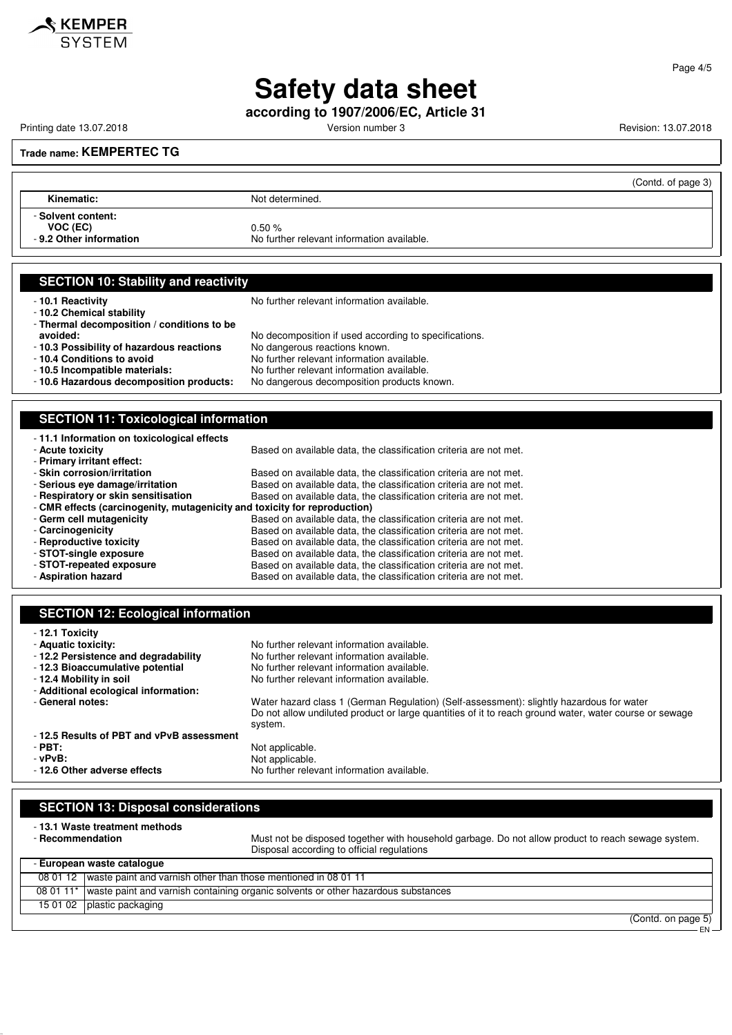

**according to 1907/2006/EC, Article 31**

Printing date 13.07.2018 **Printing date 13.07.2018** Version number 3 Revision: 13.07.2018

#### **Trade name: KEMPERTEC TG**

|                                                          |                                                     | (Contd. of page 3) |
|----------------------------------------------------------|-----------------------------------------------------|--------------------|
| Kinematic:                                               | Not determined.                                     |                    |
| - Solvent content:<br>VOC (EC)<br>-9.2 Other information | 0.50%<br>No further relevant information available. |                    |

#### **SECTION 10: Stability and reactivity**

- **10.2 Chemical stability**

- **10.1 Reactivity 10.1 Reactivity 10.1 Reactivity 10.1 Reactivity** 

- 
- **Thermal decomposition / conditions to be avoided:** No decomposition if used according to specifications.
- **10.3 Possibility of hazardous reactions** No dangerous reactions known.
- **10.4 Conditions to avoid**<br> **10.5 Incompatible materials:** No further relevant information available.
- 
- **10.5 Incompatible materials:** No further relevant information available. No dangerous decomposition products known.

#### **SECTION 11: Toxicological information** - **11.1 Information on toxicological effects** - **Acute toxicity Based on available data, the classification criteria are not met.** - **Primary irritant effect:** - **Skin corrosion/irritation** Based on available data, the classification criteria are not met.<br>- **Serious eye damage/irritation** Based on available data, the classification criteria are not met. - **Serious eye damage/irritation** Based on available data, the classification criteria are not met.<br>- **Respiratory or skin sensitisation** Based on available data, the classification criteria are not met. Based on available data, the classification criteria are not met. - **CMR effects (carcinogenity, mutagenicity and toxicity for reproduction)** - **Germ cell mutagenicity**<br>- **Carcinogenicity** Based on available data, the classification criteria are not met.<br>Based on available data, the classification criteria are not met. Based on available data, the classification criteria are not met.

| Based on available data, the classification criteria are not met. |
|-------------------------------------------------------------------|
| Based on available data, the classification criteria are not met. |
| Based on available data, the classification criteria are not met. |
| Based on available data, the classification criteria are not met. |
|                                                                   |

| <b>SECTION 12: Ecological information</b>                                                                                                                                           |                                                                                                                                                                                                               |
|-------------------------------------------------------------------------------------------------------------------------------------------------------------------------------------|---------------------------------------------------------------------------------------------------------------------------------------------------------------------------------------------------------------|
| - 12.1 Toxicity<br>- Aquatic toxicity:<br>-12.2 Persistence and degradability<br>-12.3 Bioaccumulative potential<br>- 12.4 Mobility in soil<br>- Additional ecological information: | No further relevant information available.<br>No further relevant information available.<br>No further relevant information available.<br>No further relevant information available.                          |
| - General notes:                                                                                                                                                                    | Water hazard class 1 (German Regulation) (Self-assessment): slightly hazardous for water<br>Do not allow undiluted product or large quantities of it to reach ground water, water course or sewage<br>system. |
| -12.5 Results of PBT and vPvB assessment                                                                                                                                            |                                                                                                                                                                                                               |
| $-$ PBT:                                                                                                                                                                            | Not applicable.                                                                                                                                                                                               |
| - vPvB:                                                                                                                                                                             | Not applicable.                                                                                                                                                                                               |
| - 12.6 Other adverse effects                                                                                                                                                        | No further relevant information available.                                                                                                                                                                    |
|                                                                                                                                                                                     |                                                                                                                                                                                                               |

| <b>SECTION 13: Disposal considerations</b> |                                                                                                                                                                                    |  |  |  |  |
|--------------------------------------------|------------------------------------------------------------------------------------------------------------------------------------------------------------------------------------|--|--|--|--|
| - Recommendation                           | - 13.1 Waste treatment methods<br>Must not be disposed together with household garbage. Do not allow product to reach sewage system.<br>Disposal according to official regulations |  |  |  |  |
| - European waste catalogue                 |                                                                                                                                                                                    |  |  |  |  |
|                                            | 08 01 12   waste paint and varnish other than those mentioned in 08 01 11                                                                                                          |  |  |  |  |
|                                            | 08 01 11* waste paint and varnish containing organic solvents or other hazardous substances                                                                                        |  |  |  |  |
| 15 01 02                                   | plastic packaging                                                                                                                                                                  |  |  |  |  |
|                                            | $\sqrt{2}$                                                                                                                                                                         |  |  |  |  |

(Contd. on page 5) EN

Page 4/5